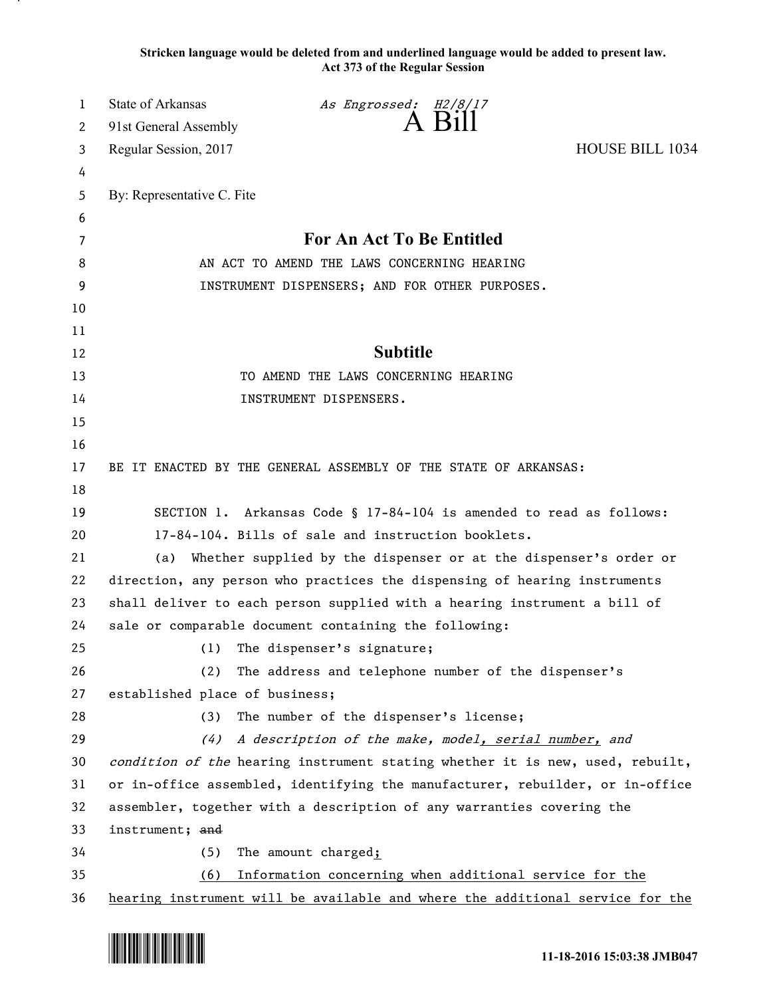**Stricken language would be deleted from and underlined language would be added to present law. Act 373 of the Regular Session**

| 1  | <b>State of Arkansas</b>                                                      | As Engrossed: H2/8/17                                                         |                        |
|----|-------------------------------------------------------------------------------|-------------------------------------------------------------------------------|------------------------|
| 2  | 91st General Assembly                                                         | A Bill                                                                        |                        |
| 3  | Regular Session, 2017                                                         |                                                                               | <b>HOUSE BILL 1034</b> |
| 4  |                                                                               |                                                                               |                        |
| 5  | By: Representative C. Fite                                                    |                                                                               |                        |
| 6  |                                                                               |                                                                               |                        |
| 7  |                                                                               | For An Act To Be Entitled                                                     |                        |
| 8  | AN ACT TO AMEND THE LAWS CONCERNING HEARING                                   |                                                                               |                        |
| 9  |                                                                               | INSTRUMENT DISPENSERS; AND FOR OTHER PURPOSES.                                |                        |
| 10 |                                                                               |                                                                               |                        |
| 11 |                                                                               |                                                                               |                        |
| 12 |                                                                               | <b>Subtitle</b>                                                               |                        |
| 13 |                                                                               | TO AMEND THE LAWS CONCERNING HEARING                                          |                        |
| 14 |                                                                               | INSTRUMENT DISPENSERS.                                                        |                        |
| 15 |                                                                               |                                                                               |                        |
| 16 |                                                                               |                                                                               |                        |
| 17 |                                                                               | BE IT ENACTED BY THE GENERAL ASSEMBLY OF THE STATE OF ARKANSAS:               |                        |
| 18 |                                                                               |                                                                               |                        |
| 19 |                                                                               | SECTION 1. Arkansas Code § 17-84-104 is amended to read as follows:           |                        |
| 20 |                                                                               | 17-84-104. Bills of sale and instruction booklets.                            |                        |
| 21 | (a)                                                                           | Whether supplied by the dispenser or at the dispenser's order or              |                        |
| 22 |                                                                               | direction, any person who practices the dispensing of hearing instruments     |                        |
| 23 | shall deliver to each person supplied with a hearing instrument a bill of     |                                                                               |                        |
| 24 |                                                                               | sale or comparable document containing the following:                         |                        |
| 25 | (1)                                                                           | The dispenser's signature;                                                    |                        |
| 26 | (2)                                                                           | The address and telephone number of the dispenser's                           |                        |
| 27 | established place of business;                                                |                                                                               |                        |
| 28 | (3)                                                                           | The number of the dispenser's license;                                        |                        |
| 29 | (4)                                                                           | A description of the make, model, serial number, and                          |                        |
| 30 |                                                                               | condition of the hearing instrument stating whether it is new, used, rebuilt, |                        |
| 31 | or in-office assembled, identifying the manufacturer, rebuilder, or in-office |                                                                               |                        |
| 32 | assembler, together with a description of any warranties covering the         |                                                                               |                        |
| 33 | instrument; and                                                               |                                                                               |                        |
| 34 | (5)                                                                           | The amount charged;                                                           |                        |
| 35 | (6)                                                                           | Information concerning when additional service for the                        |                        |
| 36 |                                                                               | hearing instrument will be available and where the additional service for the |                        |



.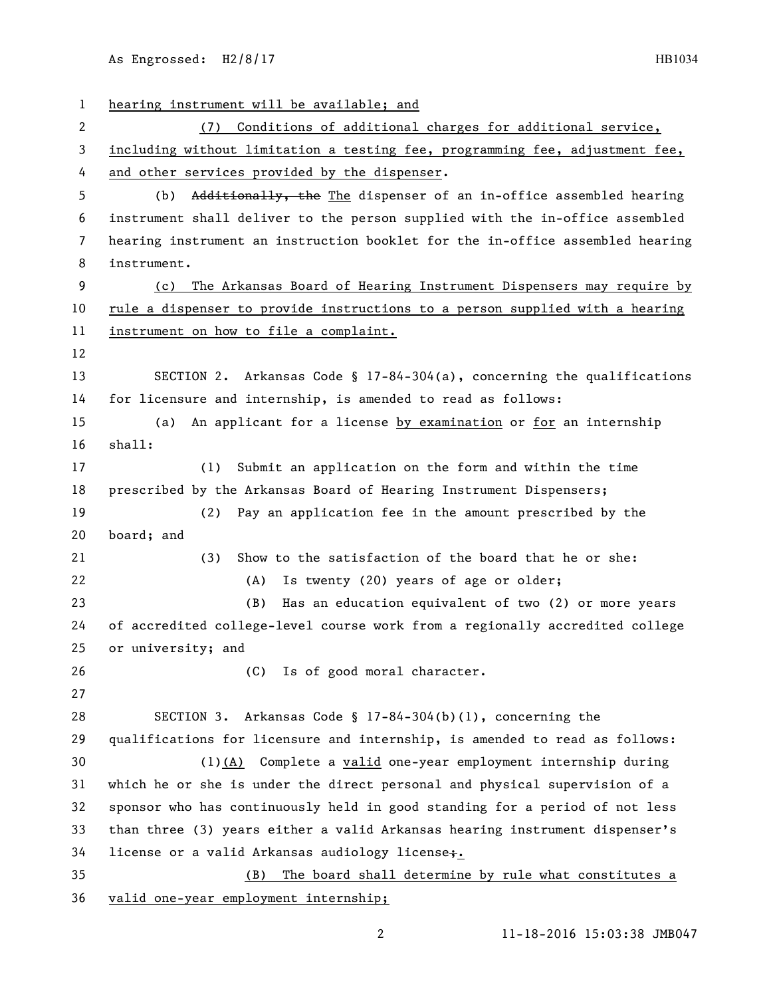As Engrossed: H2/8/17 HB1034

 hearing instrument will be available; and (7) Conditions of additional charges for additional service, including without limitation a testing fee, programming fee, adjustment fee, and other services provided by the dispenser. (b) Additionally, the The dispenser of an in-office assembled hearing instrument shall deliver to the person supplied with the in-office assembled hearing instrument an instruction booklet for the in-office assembled hearing instrument. (c) The Arkansas Board of Hearing Instrument Dispensers may require by rule a dispenser to provide instructions to a person supplied with a hearing instrument on how to file a complaint. SECTION 2. Arkansas Code § 17-84-304(a), concerning the qualifications for licensure and internship, is amended to read as follows: (a) An applicant for a license by examination or for an internship shall: (1) Submit an application on the form and within the time prescribed by the Arkansas Board of Hearing Instrument Dispensers; (2) Pay an application fee in the amount prescribed by the board; and (3) Show to the satisfaction of the board that he or she: (A) Is twenty (20) years of age or older; (B) Has an education equivalent of two (2) or more years of accredited college-level course work from a regionally accredited college or university; and (C) Is of good moral character. SECTION 3. Arkansas Code § 17-84-304(b)(1), concerning the qualifications for licensure and internship, is amended to read as follows: (1)(A) Complete a valid one-year employment internship during which he or she is under the direct personal and physical supervision of a sponsor who has continuously held in good standing for a period of not less than three (3) years either a valid Arkansas hearing instrument dispenser's 34 license or a valid Arkansas audiology license; (B) The board shall determine by rule what constitutes a valid one-year employment internship;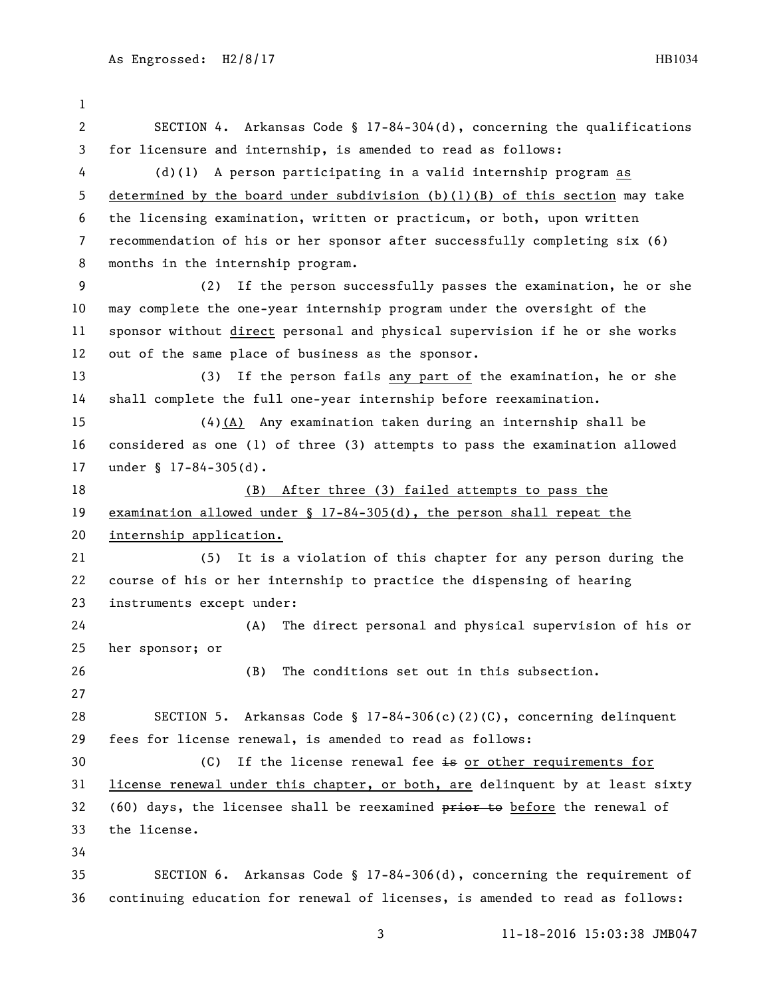SECTION 4. Arkansas Code § 17-84-304(d), concerning the qualifications for licensure and internship, is amended to read as follows: (d)(1) A person participating in a valid internship program as determined by the board under subdivision (b)(1)(B) of this section may take the licensing examination, written or practicum, or both, upon written recommendation of his or her sponsor after successfully completing six (6) months in the internship program. (2) If the person successfully passes the examination, he or she may complete the one-year internship program under the oversight of the sponsor without direct personal and physical supervision if he or she works out of the same place of business as the sponsor. (3) If the person fails any part of the examination, he or she shall complete the full one-year internship before reexamination. (4)(A) Any examination taken during an internship shall be considered as one (1) of three (3) attempts to pass the examination allowed under § 17-84-305(d). (B) After three (3) failed attempts to pass the examination allowed under § 17-84-305(d), the person shall repeat the internship application. (5) It is a violation of this chapter for any person during the course of his or her internship to practice the dispensing of hearing instruments except under: (A) The direct personal and physical supervision of his or her sponsor; or (B) The conditions set out in this subsection. SECTION 5. Arkansas Code § 17-84-306(c)(2)(C), concerning delinquent fees for license renewal, is amended to read as follows: 30 (C) If the license renewal fee is or other requirements for license renewal under this chapter, or both, are delinquent by at least sixty 32 (60) days, the licensee shall be reexamined  $\frac{p}{p+1}$  before the renewal of the license. SECTION 6. Arkansas Code § 17-84-306(d), concerning the requirement of

continuing education for renewal of licenses, is amended to read as follows: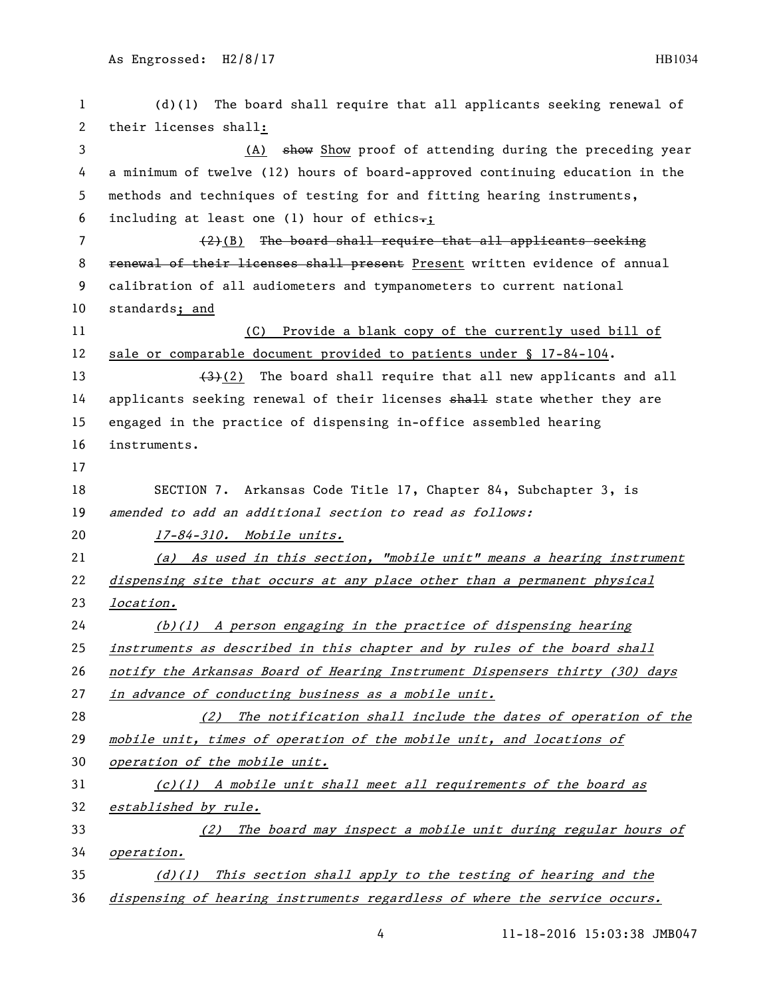| 1  | $(d)(1)$ The board shall require that all applicants seeking renewal of               |  |  |
|----|---------------------------------------------------------------------------------------|--|--|
| 2  | their licenses shall:                                                                 |  |  |
| 3  | (A) show Show proof of attending during the preceding year                            |  |  |
| 4  | a minimum of twelve (12) hours of board-approved continuing education in the          |  |  |
| 5  | methods and techniques of testing for and fitting hearing instruments,                |  |  |
| 6  | including at least one (1) hour of ethics.;                                           |  |  |
| 7  | $(2)(B)$ The board shall require that all applicants seeking                          |  |  |
| 8  | renewal of their licenses shall present Present written evidence of annual            |  |  |
| 9  | calibration of all audiometers and tympanometers to current national                  |  |  |
| 10 | standards; and                                                                        |  |  |
| 11 | (C) Provide a blank copy of the currently used bill of                                |  |  |
| 12 | sale or comparable document provided to patients under § 17-84-104.                   |  |  |
| 13 | $\left(\frac{4}{3}\right)(2)$ The board shall require that all new applicants and all |  |  |
| 14 | applicants seeking renewal of their licenses shall state whether they are             |  |  |
| 15 | engaged in the practice of dispensing in-office assembled hearing                     |  |  |
| 16 | instruments.                                                                          |  |  |
| 17 |                                                                                       |  |  |
| 18 | SECTION 7. Arkansas Code Title 17, Chapter 84, Subchapter 3, is                       |  |  |
| 19 | amended to add an additional section to read as follows:                              |  |  |
| 20 | 17-84-310. Mobile units.                                                              |  |  |
| 21 | (a) As used in this section, "mobile unit" means a hearing instrument                 |  |  |
| 22 | dispensing site that occurs at any place other than a permanent physical              |  |  |
| 23 | location.                                                                             |  |  |
| 24 | $(b)(1)$ A person engaging in the practice of dispensing hearing                      |  |  |
| 25 | instruments as described in this chapter and by rules of the board shall              |  |  |
| 26 | notify the Arkansas Board of Hearing Instrument Dispensers thirty (30) days           |  |  |
| 27 | in advance of conducting business as a mobile unit.                                   |  |  |
| 28 | (2) The notification shall include the dates of operation of the                      |  |  |
| 29 | mobile unit, times of operation of the mobile unit, and locations of                  |  |  |
| 30 | operation of the mobile unit.                                                         |  |  |
| 31 | $(c)(1)$ A mobile unit shall meet all requirements of the board as                    |  |  |
| 32 | established by rule.                                                                  |  |  |
| 33 | The board may inspect a mobile unit during regular hours of<br>(2)                    |  |  |
| 34 | operation.                                                                            |  |  |
| 35 | This section shall apply to the testing of hearing and the<br>(d)(1)                  |  |  |
| 36 | dispensing of hearing instruments regardless of where the service occurs.             |  |  |

4 11-18-2016 15:03:38 JMB047